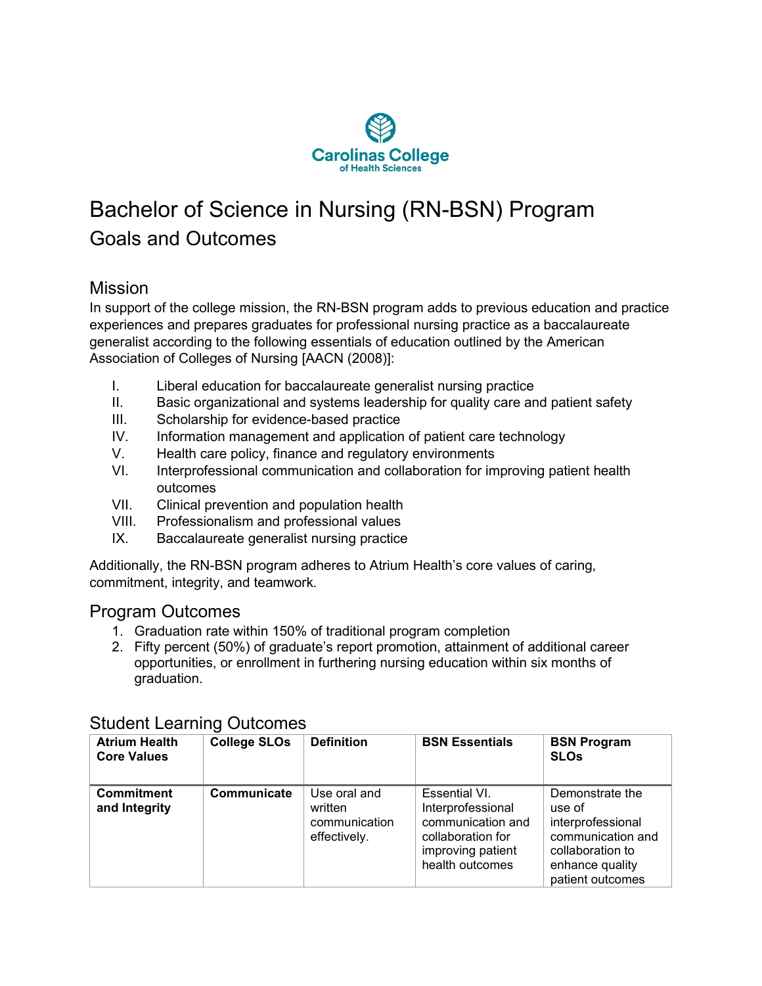

## Bachelor of Science in Nursing (RN-BSN) Program Goals and Outcomes

## **Mission**

In support of the college mission, the RN-BSN program adds to previous education and practice experiences and prepares graduates for professional nursing practice as a baccalaureate generalist according to the following essentials of education outlined by the American Association of Colleges of Nursing [AACN (2008)]:

- I. Liberal education for baccalaureate generalist nursing practice
- II. Basic organizational and systems leadership for quality care and patient safety
- III. Scholarship for evidence-based practice
- IV. Information management and application of patient care technology
- V. Health care policy, finance and regulatory environments
- VI. Interprofessional communication and collaboration for improving patient health outcomes
- VII. Clinical prevention and population health
- VIII. Professionalism and professional values
- IX. Baccalaureate generalist nursing practice

Additionally, the RN-BSN program adheres to Atrium Health's core values of caring, commitment, integrity, and teamwork.

## Program Outcomes

- 1. Graduation rate within 150% of traditional program completion
- 2. Fifty percent (50%) of graduate's report promotion, attainment of additional career opportunities, or enrollment in furthering nursing education within six months of graduation.

| <b>Atrium Health</b><br><b>Core Values</b> | <b>College SLOs</b> | <b>Definition</b>                                        | <b>BSN Essentials</b>                                                                                                | <b>BSN Program</b><br><b>SLOs</b>                                                                                              |
|--------------------------------------------|---------------------|----------------------------------------------------------|----------------------------------------------------------------------------------------------------------------------|--------------------------------------------------------------------------------------------------------------------------------|
| <b>Commitment</b><br>and Integrity         | Communicate         | Use oral and<br>written<br>communication<br>effectively. | Essential VI.<br>Interprofessional<br>communication and<br>collaboration for<br>improving patient<br>health outcomes | Demonstrate the<br>use of<br>interprofessional<br>communication and<br>collaboration to<br>enhance quality<br>patient outcomes |

## Student Learning Outcomes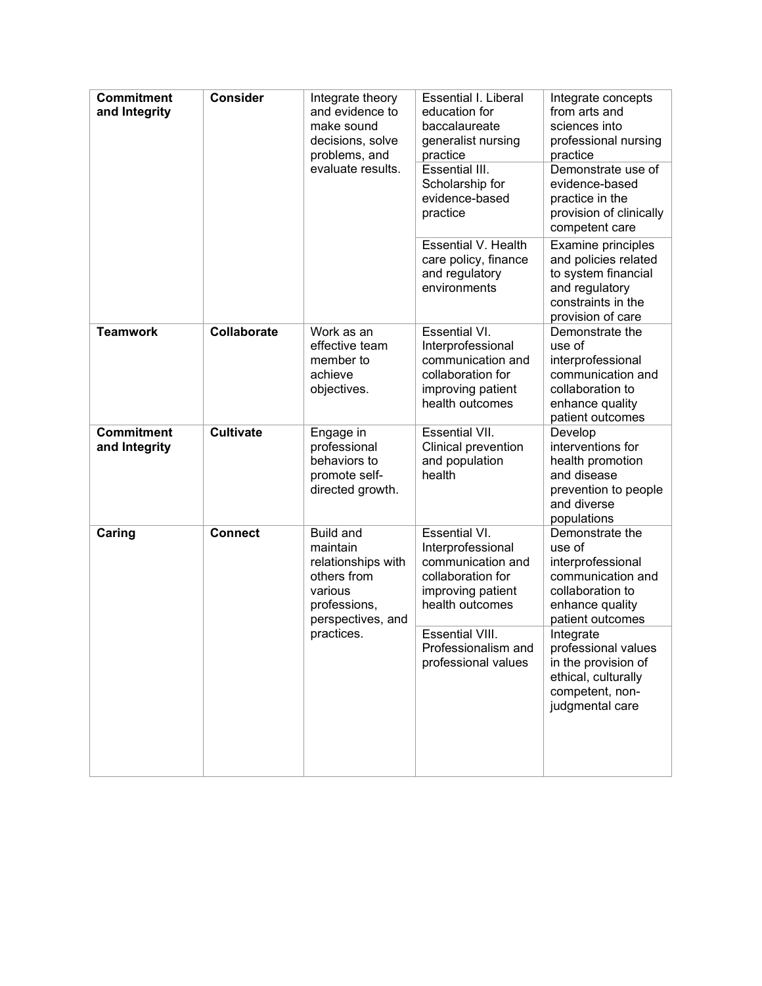| <b>Commitment</b><br>and Integrity | Consider           | Integrate theory<br>and evidence to<br>make sound<br>decisions, solve<br>problems, and<br>evaluate results.                     | Essential I. Liberal<br>education for<br>baccalaureate<br>generalist nursing<br>practice<br>Essential III.<br>Scholarship for<br>evidence-based<br>practice<br><b>Essential V. Health</b> | Integrate concepts<br>from arts and<br>sciences into<br>professional nursing<br>practice<br>Demonstrate use of<br>evidence-based<br>practice in the<br>provision of clinically<br>competent care<br>Examine principles |
|------------------------------------|--------------------|---------------------------------------------------------------------------------------------------------------------------------|-------------------------------------------------------------------------------------------------------------------------------------------------------------------------------------------|------------------------------------------------------------------------------------------------------------------------------------------------------------------------------------------------------------------------|
|                                    |                    |                                                                                                                                 | care policy, finance<br>and regulatory<br>environments                                                                                                                                    | and policies related<br>to system financial<br>and regulatory<br>constraints in the<br>provision of care                                                                                                               |
| <b>Teamwork</b>                    | <b>Collaborate</b> | Work as an<br>effective team<br>member to<br>achieve<br>objectives.                                                             | <b>Essential VI.</b><br>Interprofessional<br>communication and<br>collaboration for<br>improving patient<br>health outcomes                                                               | Demonstrate the<br>use of<br>interprofessional<br>communication and<br>collaboration to<br>enhance quality<br>patient outcomes                                                                                         |
| <b>Commitment</b><br>and Integrity | <b>Cultivate</b>   | Engage in<br>professional<br>behaviors to<br>promote self-<br>directed growth.                                                  | <b>Essential VII.</b><br>Clinical prevention<br>and population<br>health                                                                                                                  | Develop<br>interventions for<br>health promotion<br>and disease<br>prevention to people<br>and diverse<br>populations                                                                                                  |
| Caring                             | <b>Connect</b>     | <b>Build and</b><br>maintain<br>relationships with<br>others from<br>various<br>professions,<br>perspectives, and<br>practices. | Essential VI.<br>Interprofessional<br>communication and<br>collaboration for<br>improving patient<br>health outcomes                                                                      | Demonstrate the<br>use of<br>interprofessional<br>communication and<br>collaboration to<br>enhance quality<br>patient outcomes                                                                                         |
|                                    |                    |                                                                                                                                 | <b>Essential VIII.</b><br>Professionalism and<br>professional values                                                                                                                      | Integrate<br>professional values<br>in the provision of<br>ethical, culturally<br>competent, non-<br>judgmental care                                                                                                   |